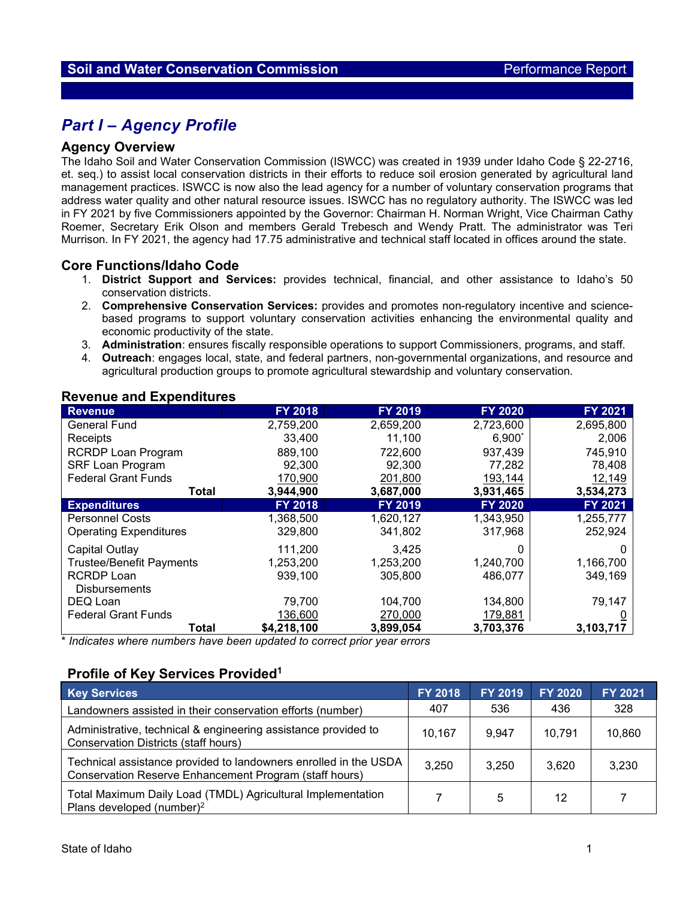# *Part I – Agency Profile*

#### **Agency Overview**

The Idaho Soil and Water Conservation Commission (ISWCC) was created in 1939 under Idaho Code § 22-2716, et. seq.) to assist local conservation districts in their efforts to reduce soil erosion generated by agricultural land management practices. ISWCC is now also the lead agency for a number of voluntary conservation programs that address water quality and other natural resource issues. ISWCC has no regulatory authority. The ISWCC was led in FY 2021 by five Commissioners appointed by the Governor: Chairman H. Norman Wright, Vice Chairman Cathy Roemer, Secretary Erik Olson and members Gerald Trebesch and Wendy Pratt. The administrator was Teri Murrison. In FY 2021, the agency had 17.75 administrative and technical staff located in offices around the state.

#### **Core Functions/Idaho Code**

- 1. **District Support and Services:** provides technical, financial, and other assistance to Idaho's 50 conservation districts.
- 2. **Comprehensive Conservation Services:** provides and promotes non-regulatory incentive and sciencebased programs to support voluntary conservation activities enhancing the environmental quality and economic productivity of the state.
- 3. **Administration**: ensures fiscally responsible operations to support Commissioners, programs, and staff.
- 4. **Outreach**: engages local, state, and federal partners, non-governmental organizations, and resource and agricultural production groups to promote agricultural stewardship and voluntary conservation.

| $\sim$                          |                |                |                |           |
|---------------------------------|----------------|----------------|----------------|-----------|
| <b>Revenue</b>                  | <b>FY 2018</b> | <b>FY 2019</b> | <b>FY 2020</b> | FY 2021   |
| <b>General Fund</b>             | 2,759,200      | 2,659,200      | 2,723,600      | 2,695,800 |
| Receipts                        | 33,400         | 11,100         | $6,900*$       | 2,006     |
| <b>RCRDP Loan Program</b>       | 889,100        | 722,600        | 937,439        | 745,910   |
| <b>SRF Loan Program</b>         | 92,300         | 92,300         | 77,282         | 78,408    |
| <b>Federal Grant Funds</b>      | 170,900        | 201,800        | 193,144        | 12,149    |
| Total                           | 3,944,900      | 3,687,000      | 3,931,465      | 3,534,273 |
| <b>Expenditures</b>             | <b>FY 2018</b> | <b>FY 2019</b> | <b>FY 2020</b> | FY 2021   |
| <b>Personnel Costs</b>          | 1,368,500      | 1,620,127      | 1,343,950      | 1,255,777 |
| <b>Operating Expenditures</b>   | 329,800        | 341,802        | 317,968        | 252,924   |
| Capital Outlay                  | 111,200        | 3.425          |                |           |
| <b>Trustee/Benefit Payments</b> | 1,253,200      | 1,253,200      | 1,240,700      | 1,166,700 |
| <b>RCRDP Loan</b>               | 939,100        | 305,800        | 486,077        | 349,169   |
| <b>Disbursements</b>            |                |                |                |           |
| DEQ Loan                        | 79,700         | 104,700        | 134,800        | 79,147    |
| <b>Federal Grant Funds</b>      | 136,600        | 270,000        | 179,881        |           |
| Total                           | \$4,218,100    | 3,899,054      | 3,703,376      | 3,103,717 |

#### **Revenue and Expenditures**

\* *Indicates where numbers have been updated to correct prior year errors*

### **Profile of Key Services Provided1**

| <b>Key Services</b>                                                                                                        | <b>FY 2018</b> | <b>FY 2019</b> | <b>FY 2020</b> | <b>FY 2021</b> |
|----------------------------------------------------------------------------------------------------------------------------|----------------|----------------|----------------|----------------|
| Landowners assisted in their conservation efforts (number)                                                                 | 407            | 536            | 436            | 328            |
| Administrative, technical & engineering assistance provided to<br><b>Conservation Districts (staff hours)</b>              | 10.167         | 9.947          | 10.791         | 10,860         |
| Technical assistance provided to landowners enrolled in the USDA<br>Conservation Reserve Enhancement Program (staff hours) | 3,250          | 3.250          | 3,620          | 3,230          |
| Total Maximum Daily Load (TMDL) Agricultural Implementation<br>Plans developed (number) <sup>2</sup>                       |                | 5              | 12             |                |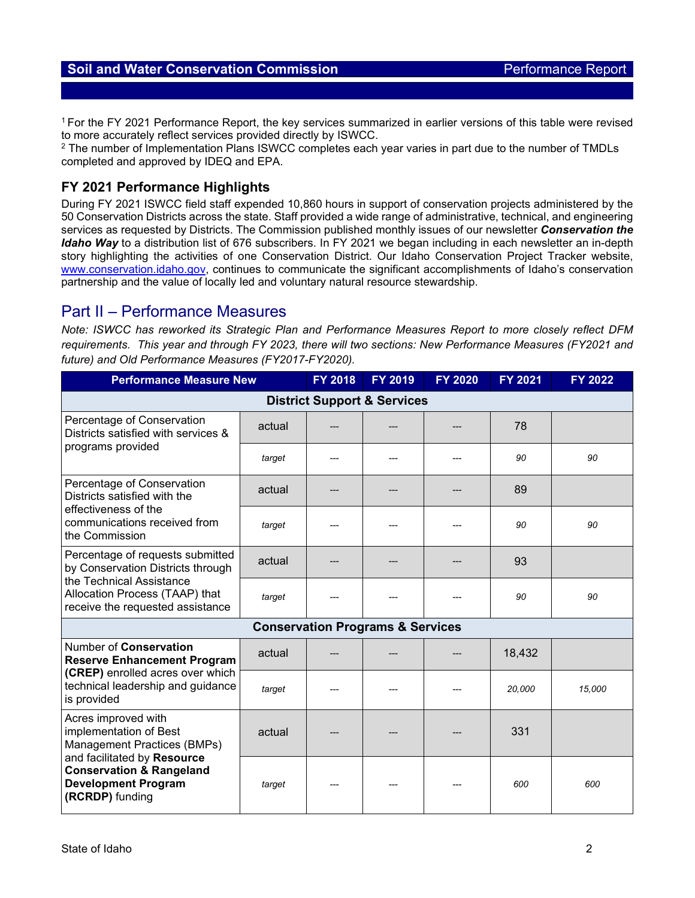1 For the FY 2021 Performance Report, the key services summarized in earlier versions of this table were revised to more accurately reflect services provided directly by ISWCC.

<sup>2</sup> The number of Implementation Plans ISWCC completes each year varies in part due to the number of TMDLs completed and approved by IDEQ and EPA.

## **FY 2021 Performance Highlights**

During FY 2021 ISWCC field staff expended 10,860 hours in support of conservation projects administered by the 50 Conservation Districts across the state. Staff provided a wide range of administrative, technical, and engineering services as requested by Districts. The Commission published monthly issues of our newsletter *Conservation the Idaho Way* to a distribution list of 676 subscribers. In FY 2021 we began including in each newsletter an in-depth story highlighting the activities of one Conservation District. Our Idaho Conservation Project Tracker website, [www.conservation.idaho.gov,](http://www.conservation.idaho.gov/) continues to communicate the significant accomplishments of Idaho's conservation partnership and the value of locally led and voluntary natural resource stewardship.

## Part II – Performance Measures

*Note: ISWCC has reworked its Strategic Plan and Performance Measures Report to more closely reflect DFM requirements. This year and through FY 2023, there will two sections: New Performance Measures (FY2021 and future) and Old Performance Measures (FY2017-FY2020).*

| <b>Performance Measure New</b>                                                                                                                                                                      | <b>FY 2018</b> | <b>FY 2019</b> | <b>FY 2020</b>                              | FY 2021 | <b>FY 2022</b> |        |
|-----------------------------------------------------------------------------------------------------------------------------------------------------------------------------------------------------|----------------|----------------|---------------------------------------------|---------|----------------|--------|
|                                                                                                                                                                                                     |                |                | <b>District Support &amp; Services</b>      |         |                |        |
| Percentage of Conservation<br>Districts satisfied with services &                                                                                                                                   | actual         |                |                                             |         | 78             |        |
| programs provided                                                                                                                                                                                   | target         |                |                                             |         | 90             | 90     |
| Percentage of Conservation<br>Districts satisfied with the<br>effectiveness of the<br>communications received from<br>the Commission                                                                | actual         |                |                                             |         | 89             |        |
|                                                                                                                                                                                                     | target         |                |                                             |         | 90             | 90     |
| Percentage of requests submitted<br>by Conservation Districts through<br>the Technical Assistance<br>Allocation Process (TAAP) that<br>receive the requested assistance                             | actual         |                |                                             |         | 93             |        |
|                                                                                                                                                                                                     | target         |                |                                             |         | 90             | 90     |
|                                                                                                                                                                                                     |                |                | <b>Conservation Programs &amp; Services</b> |         |                |        |
| Number of Conservation<br><b>Reserve Enhancement Program</b>                                                                                                                                        | actual         |                |                                             |         | 18,432         |        |
| (CREP) enrolled acres over which<br>technical leadership and guidance<br>is provided                                                                                                                | target         |                |                                             |         | 20,000         | 15,000 |
| Acres improved with<br>implementation of Best<br>Management Practices (BMPs)<br>and facilitated by Resource<br><b>Conservation &amp; Rangeland</b><br><b>Development Program</b><br>(RCRDP) funding | actual         |                |                                             |         | 331            |        |
|                                                                                                                                                                                                     | target         |                |                                             |         | 600            | 600    |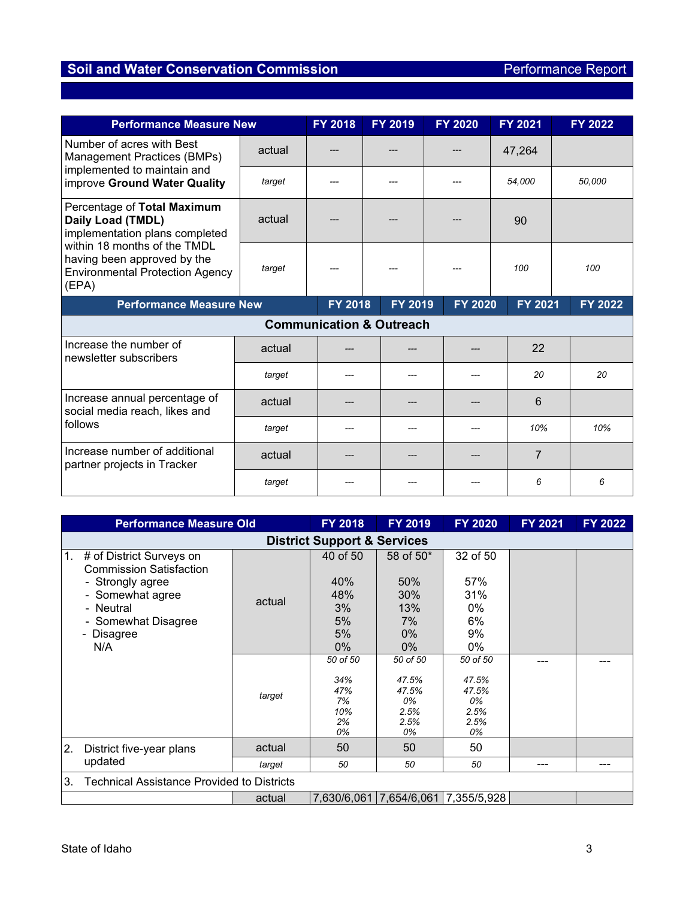| <b>Performance Measure New</b>                                                                                                                                                                       |                | FY 2018 | FY 2019                             | <b>FY 2020</b> | FY 2021        | <b>FY 2022</b> |
|------------------------------------------------------------------------------------------------------------------------------------------------------------------------------------------------------|----------------|---------|-------------------------------------|----------------|----------------|----------------|
| Number of acres with Best<br>Management Practices (BMPs)                                                                                                                                             | actual         |         |                                     |                | 47,264         |                |
| implemented to maintain and<br>improve Ground Water Quality                                                                                                                                          | target         |         |                                     |                | 54,000         | 50,000         |
| Percentage of Total Maximum<br>Daily Load (TMDL)<br>implementation plans completed<br>within 18 months of the TMDL<br>having been approved by the<br><b>Environmental Protection Agency</b><br>(EPA) | actual         |         |                                     |                | 90             |                |
|                                                                                                                                                                                                      | target         |         |                                     |                | 100            | 100            |
| <b>Performance Measure New</b>                                                                                                                                                                       | <b>FY 2018</b> | FY 2019 | <b>FY 2020</b>                      | <b>FY 2021</b> | <b>FY 2022</b> |                |
|                                                                                                                                                                                                      |                |         | <b>Communication &amp; Outreach</b> |                |                |                |
| Increase the number of<br>newsletter subscribers                                                                                                                                                     | actual         |         |                                     |                | 22             |                |
|                                                                                                                                                                                                      | target         |         |                                     |                | 20             | 20             |
| Increase annual percentage of<br>social media reach, likes and                                                                                                                                       | actual         |         |                                     |                | 6              |                |
| follows                                                                                                                                                                                              | target         |         |                                     |                | 10%            | 10%            |
| Increase number of additional<br>partner projects in Tracker                                                                                                                                         | actual         |         |                                     |                | $\overline{7}$ |                |
|                                                                                                                                                                                                      | target         |         |                                     |                | 6              | 6              |

| <b>Performance Measure Old</b> |                                                                                                                                                             | <b>FY 2018</b> | <b>FY 2019</b>                                    | <b>FY 2020</b>                                         | <b>FY 2021</b>                                         | FY 2022 |     |  |  |
|--------------------------------|-------------------------------------------------------------------------------------------------------------------------------------------------------------|----------------|---------------------------------------------------|--------------------------------------------------------|--------------------------------------------------------|---------|-----|--|--|
|                                | <b>District Support &amp; Services</b>                                                                                                                      |                |                                                   |                                                        |                                                        |         |     |  |  |
| 1.                             | # of District Surveys on<br><b>Commission Satisfaction</b><br>- Strongly agree<br>- Somewhat agree<br>- Neutral<br>- Somewhat Disagree<br>- Disagree<br>N/A | actual         | 40 of 50<br>40%<br>48%<br>3%<br>5%<br>5%<br>$0\%$ | 58 of 50*<br>50%<br>30%<br>13%<br>7%<br>$0\%$<br>$0\%$ | 32 of 50<br>57%<br>31%<br>$0\%$<br>6%<br>9%<br>0%      |         |     |  |  |
|                                |                                                                                                                                                             | target         | 50 of 50<br>34%<br>47%<br>7%<br>10%<br>2%<br>0%   | 50 of 50<br>47.5%<br>47.5%<br>0%<br>2.5%<br>2.5%<br>0% | 50 of 50<br>47.5%<br>47.5%<br>0%<br>2.5%<br>2.5%<br>0% |         |     |  |  |
| 2.                             | District five-year plans                                                                                                                                    | actual         | 50                                                | 50                                                     | 50                                                     |         |     |  |  |
|                                | updated                                                                                                                                                     | target         | 50                                                | 50                                                     | 50                                                     | ---     | --- |  |  |
| 3.                             | Technical Assistance Provided to Districts                                                                                                                  |                |                                                   |                                                        |                                                        |         |     |  |  |
|                                |                                                                                                                                                             | actual         |                                                   |                                                        | 7,630/6,061 7,654/6,061 7,355/5,928                    |         |     |  |  |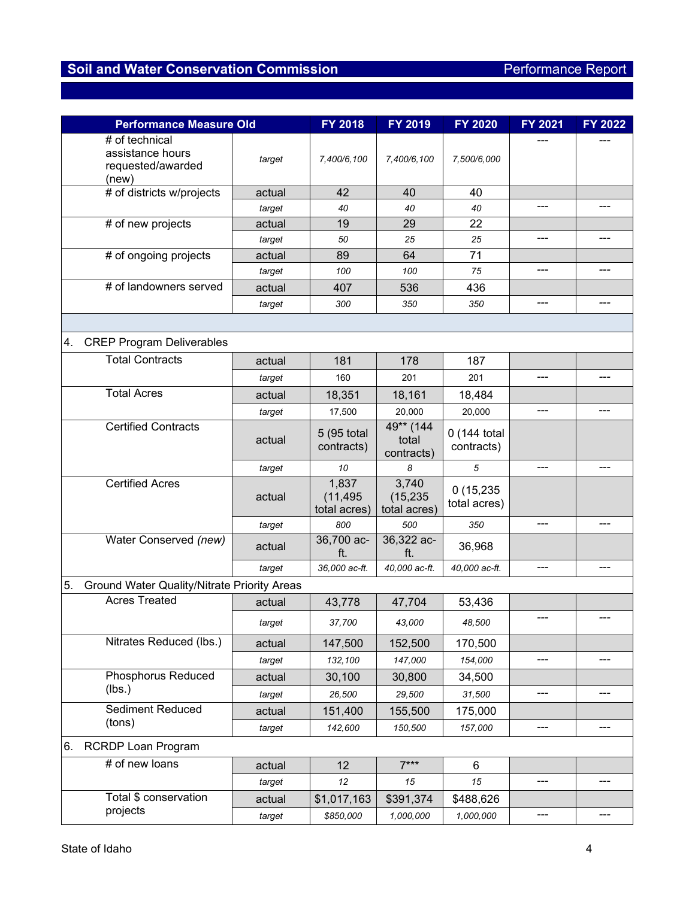| <b>Performance Measure Old</b>                                   |        | <b>FY 2018</b>                     | FY 2019                            | <b>FY 2020</b>             | FY 2021 | <b>FY 2022</b> |
|------------------------------------------------------------------|--------|------------------------------------|------------------------------------|----------------------------|---------|----------------|
| # of technical<br>assistance hours<br>requested/awarded<br>(new) | target | 7,400/6,100                        | 7,400/6,100                        | 7,500/6,000                |         |                |
| # of districts w/projects                                        | actual | 42                                 | 40                                 | 40                         |         |                |
|                                                                  | target | 40                                 | 40                                 | 40                         | ---     |                |
| # of new projects                                                | actual | 19                                 | 29                                 | 22                         |         |                |
|                                                                  | target | 50                                 | 25                                 | 25                         | ---     |                |
| # of ongoing projects                                            | actual | 89                                 | 64                                 | 71                         |         |                |
|                                                                  | target | 100                                | 100                                | 75                         | ---     | ---            |
| $#$ of landowners served                                         | actual | 407                                | 536                                | 436                        |         |                |
|                                                                  | target | 300                                | 350                                | 350                        | ---     | ---            |
|                                                                  |        |                                    |                                    |                            |         |                |
| <b>CREP Program Deliverables</b><br>4.                           |        |                                    |                                    |                            |         |                |
| <b>Total Contracts</b>                                           | actual | 181                                | 178                                | 187                        |         |                |
|                                                                  | target | 160                                | 201                                | 201                        | ---     |                |
| <b>Total Acres</b>                                               | actual | 18,351                             | 18,161                             | 18,484                     |         |                |
|                                                                  | target | 17,500                             | 20,000                             | 20,000                     | ---     | ---            |
| <b>Certified Contracts</b>                                       | actual | 5 (95 total<br>contracts)          | 49** (144<br>total<br>contracts)   | 0 (144 total<br>contracts) |         |                |
|                                                                  | target | 10                                 | 8                                  | 5                          | ---     | ---            |
| <b>Certified Acres</b>                                           | actual | 1,837<br>(11, 495)<br>total acres) | 3,740<br>(15, 235)<br>total acres) | 0(15,235)<br>total acres)  |         |                |
|                                                                  | target | 800                                | 500                                | 350                        | ---     | ---            |
| Water Conserved (new)                                            | actual | 36,700 ac-<br>ft.                  | 36,322 ac-<br>ft.                  | 36,968                     |         |                |
|                                                                  | target | 36,000 ac-ft.                      | 40.000 ac-ft.                      | 40,000 ac-ft.              | ---     |                |
| 5.<br>Ground Water Quality/Nitrate Priority Areas                |        |                                    |                                    |                            |         |                |
| <b>Acres Treated</b>                                             | actual | 43,778                             | 47,704                             | 53,436                     |         |                |
|                                                                  | target | 37,700                             | 43,000                             | 48,500                     | ---     |                |
| Nitrates Reduced (lbs.)                                          | actual | 147,500                            | 152,500                            | 170,500                    |         |                |
|                                                                  | target | 132,100                            | 147,000                            | 154,000                    | ---     | ---            |
| <b>Phosphorus Reduced</b>                                        | actual | 30,100                             | 30,800                             | 34,500                     |         |                |
| (lbs.)                                                           | target | 26,500                             | 29,500                             | 31,500                     | ---     | ---            |
| Sediment Reduced                                                 | actual | 151,400                            | 155,500                            | 175,000                    |         |                |
| (tons)                                                           | target | 142,600                            | 150,500                            | 157,000                    | ---     | ---            |
| 6.<br><b>RCRDP Loan Program</b>                                  |        |                                    |                                    |                            |         |                |
| # of new loans                                                   | actual | 12                                 | $7***$                             | 6                          |         |                |
|                                                                  | target | 12                                 | 15                                 | 15                         | ---     | ---            |
| Total \$ conservation                                            | actual | \$1,017,163                        | \$391,374                          | \$488,626                  |         |                |
| projects                                                         | target | \$850,000                          | 1,000,000                          | 1,000,000                  | ---     | ---            |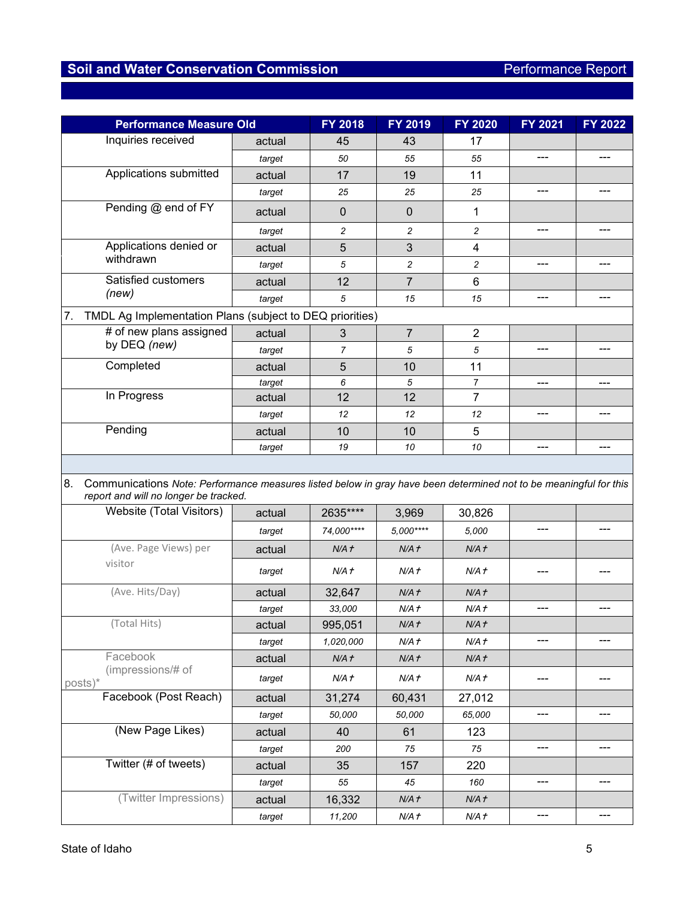| <b>Performance Measure Old</b>                                                                                                                                   |        | <b>FY 2018</b> | FY 2019                 | <b>FY 2020</b>   | FY 2021 | <b>FY 2022</b> |
|------------------------------------------------------------------------------------------------------------------------------------------------------------------|--------|----------------|-------------------------|------------------|---------|----------------|
| Inquiries received                                                                                                                                               | actual | 45             | 43                      | 17               |         |                |
|                                                                                                                                                                  | target | 50             | 55                      | 55               | ---     | ---            |
| Applications submitted                                                                                                                                           | actual | 17             | 19                      | 11               |         |                |
|                                                                                                                                                                  | target | 25             | 25                      | 25               | ---     | ---            |
| Pending @ end of FY                                                                                                                                              | actual | $\pmb{0}$      | $\mathbf 0$             | 1                |         |                |
|                                                                                                                                                                  | target | $\overline{c}$ | $\overline{c}$          | 2                | ---     |                |
| Applications denied or                                                                                                                                           | actual | 5              | 3                       | 4                |         |                |
| withdrawn                                                                                                                                                        | target | 5              | $\overline{\mathbf{c}}$ | 2                | ---     | ---            |
| Satisfied customers                                                                                                                                              | actual | 12             | 7                       | 6                |         |                |
| (new)                                                                                                                                                            | target | 5              | 15                      | 15               | ---     | ---            |
| 7.<br>TMDL Ag Implementation Plans (subject to DEQ priorities)                                                                                                   |        |                |                         |                  |         |                |
| # of new plans assigned                                                                                                                                          | actual | 3              | $\overline{7}$          | $\boldsymbol{2}$ |         |                |
| by DEQ (new)                                                                                                                                                     | target | $\overline{7}$ | 5                       | 5                | ---     | ---            |
| Completed                                                                                                                                                        | actual | 5              | 10                      | 11               |         |                |
|                                                                                                                                                                  | target | 6              | 5                       | $\overline{7}$   | ---     | ---            |
| In Progress                                                                                                                                                      | actual | 12             | 12                      | $\overline{7}$   |         |                |
|                                                                                                                                                                  | target | 12             | 12                      | 12               | ---     | ---            |
| Pending                                                                                                                                                          | actual | 10             | 10                      | 5                |         |                |
|                                                                                                                                                                  | target | 19             | 10                      | 10               | ---     | ---            |
| 8.<br>Communications Note: Performance measures listed below in gray have been determined not to be meaningful for this<br>report and will no longer be tracked. |        |                |                         |                  |         |                |
| Website (Total Visitors)                                                                                                                                         | actual | 2635****       | 3,969                   | 30,826           |         |                |
|                                                                                                                                                                  | target | 74,000****     | 5,000****               | 5,000            | ---     |                |
| (Ave. Page Views) per                                                                                                                                            | actual | N/A f          | N/A f                   | N/A f            |         |                |
| visitor                                                                                                                                                          | target | N/A t          | N/A t                   | N/A f            |         |                |
| (Ave. Hits/Day)                                                                                                                                                  | actual | 32,647         | N/A f                   | N/A f            |         |                |
|                                                                                                                                                                  | target | 33,000         | N/A t                   | N/A f            | ---     | ---            |
| (Total Hits)                                                                                                                                                     | actual | 995,051        | N/A f                   | N/A f            |         |                |
|                                                                                                                                                                  | target | 1,020,000      | N/A f                   | N/A f            | ---     | ---            |
| Facebook                                                                                                                                                         | actual | N/A f          | N/A f                   | N/A f            |         |                |
| (impressions/# of<br>posts)*                                                                                                                                     | target | N/A f          | N/A f                   | N/A t            | ---     |                |
| Facebook (Post Reach)                                                                                                                                            | actual | 31,274         | 60,431                  | 27,012           |         |                |
|                                                                                                                                                                  | target | 50,000         | 50,000                  | 65,000           | ---     |                |
| (New Page Likes)                                                                                                                                                 | actual | 40             | 61                      | 123              |         |                |
|                                                                                                                                                                  | target | 200            | 75                      | 75               | ---     | ---            |
| Twitter (# of tweets)                                                                                                                                            | actual | 35             | 157                     | 220              |         |                |
|                                                                                                                                                                  | target | 55             | 45                      | 160              | ---     | ---            |
| (Twitter Impressions)                                                                                                                                            | actual | 16,332         | N/A f                   | N/A f            |         |                |
|                                                                                                                                                                  | target | 11,200         | N/A t                   | N/A f            | ---     | ---            |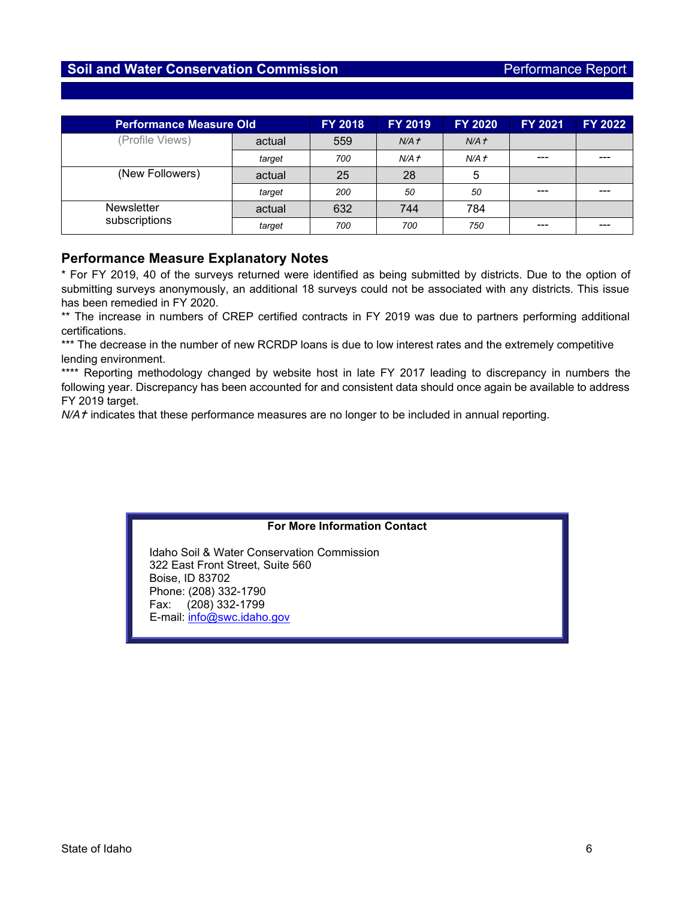| <b>Performance Measure Old</b> |        | <b>FY 2018</b> | <b>FY 2019</b>   | <b>FY 2020</b> | <b>FY 2021</b> | <b>FY 2022</b> |
|--------------------------------|--------|----------------|------------------|----------------|----------------|----------------|
| (Profile Views)                | actual | 559            | N/A <sub>t</sub> | N/A f          |                |                |
|                                | target | 700            | N/A f            | N/A f          | $---$          |                |
| (New Followers)                | actual | 25             | 28               | 5              |                |                |
|                                | target | 200            | 50               | 50             | $---$          |                |
| <b>Newsletter</b>              | actual | 632            | 744              | 784            |                |                |
| subscriptions                  | target | 700            | 700              | 750            | $- - -$        |                |

## **Performance Measure Explanatory Notes**

\* For FY 2019, 40 of the surveys returned were identified as being submitted by districts. Due to the option of submitting surveys anonymously, an additional 18 surveys could not be associated with any districts. This issue has been remedied in FY 2020.

\*\* The increase in numbers of CREP certified contracts in FY 2019 was due to partners performing additional certifications.

\*\*\* The decrease in the number of new RCRDP loans is due to low interest rates and the extremely competitive lending environment.

\*\*\*\* Reporting methodology changed by website host in late FY 2017 leading to discrepancy in numbers the following year. Discrepancy has been accounted for and consistent data should once again be available to address FY 2019 target.

*N/A f* indicates that these performance measures are no longer to be included in annual reporting.

#### **For More Information Contact**

Idaho Soil & Water Conservation Commission 322 East Front Street, Suite 560 Boise, ID 83702 Phone: (208) 332-1790 Fax: (208) 332-1799 E-mail: [info@swc.idaho.gov](mailto:info@swc.idaho.gov)